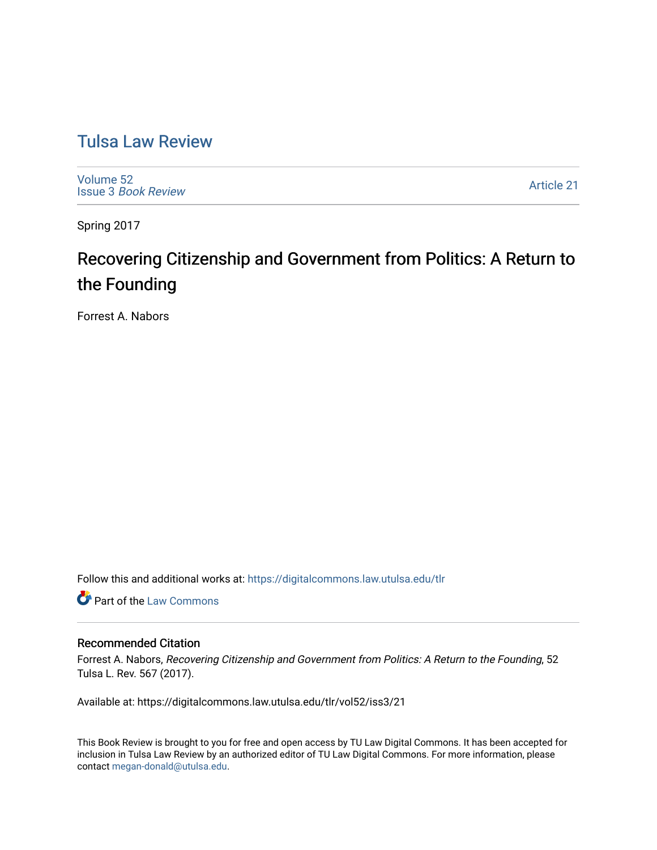# [Tulsa Law Review](https://digitalcommons.law.utulsa.edu/tlr)

[Volume 52](https://digitalcommons.law.utulsa.edu/tlr/vol52) Issue 3 [Book Review](https://digitalcommons.law.utulsa.edu/tlr/vol52/iss3)

[Article 21](https://digitalcommons.law.utulsa.edu/tlr/vol52/iss3/21) 

Spring 2017

# Recovering Citizenship and Government from Politics: A Return to the Founding

Forrest A. Nabors

Follow this and additional works at: [https://digitalcommons.law.utulsa.edu/tlr](https://digitalcommons.law.utulsa.edu/tlr?utm_source=digitalcommons.law.utulsa.edu%2Ftlr%2Fvol52%2Fiss3%2F21&utm_medium=PDF&utm_campaign=PDFCoverPages) 

**Part of the [Law Commons](http://network.bepress.com/hgg/discipline/578?utm_source=digitalcommons.law.utulsa.edu%2Ftlr%2Fvol52%2Fiss3%2F21&utm_medium=PDF&utm_campaign=PDFCoverPages)** 

### Recommended Citation

Forrest A. Nabors, Recovering Citizenship and Government from Politics: A Return to the Founding, 52 Tulsa L. Rev. 567 (2017).

Available at: https://digitalcommons.law.utulsa.edu/tlr/vol52/iss3/21

This Book Review is brought to you for free and open access by TU Law Digital Commons. It has been accepted for inclusion in Tulsa Law Review by an authorized editor of TU Law Digital Commons. For more information, please contact [megan-donald@utulsa.edu.](mailto:megan-donald@utulsa.edu)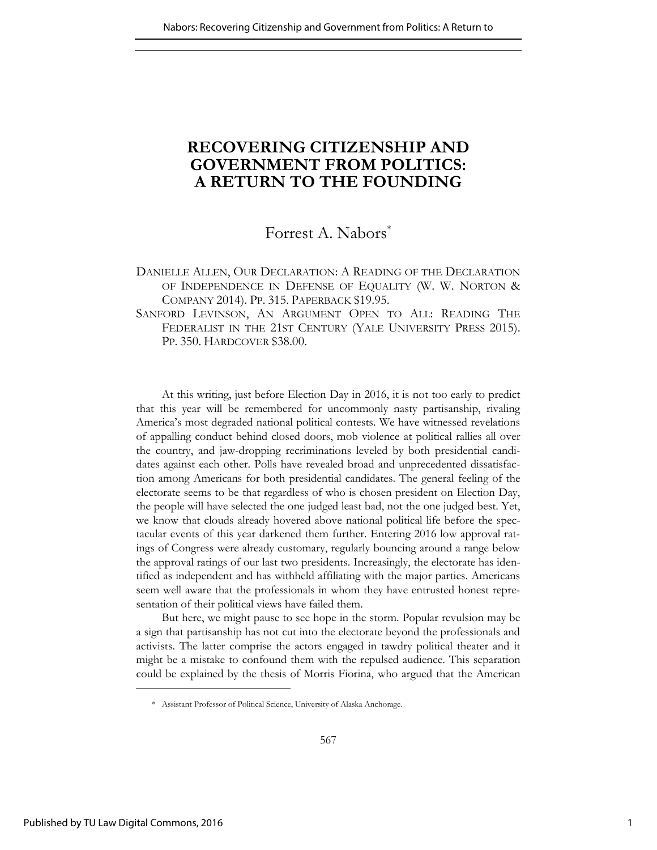# **RECOVERING CITIZENSHIP AND GOVERNMENT FROM POLITICS: A RETURN TO THE FOUNDING**

## Forrest A. Nabors<sup>\*</sup>

## DANIELLE ALLEN, OUR DECLARATION: A READING OF THE DECLARATION OF INDEPENDENCE IN DEFENSE OF EQUALITY (W. W. NORTON & COMPANY 2014). PP. 315. PAPERBACK \$19.95.

SANFORD LEVINSON, AN ARGUMENT OPEN TO ALL: READING THE FEDERALIST IN THE 21ST CENTURY (YALE UNIVERSITY PRESS 2015). PP. 350. HARDCOVER \$38.00.

At this writing, just before Election Day in 2016, it is not too early to predict that this year will be remembered for uncommonly nasty partisanship, rivaling America's most degraded national political contests. We have witnessed revelations of appalling conduct behind closed doors, mob violence at political rallies all over the country, and jaw-dropping recriminations leveled by both presidential candidates against each other. Polls have revealed broad and unprecedented dissatisfaction among Americans for both presidential candidates. The general feeling of the electorate seems to be that regardless of who is chosen president on Election Day, the people will have selected the one judged least bad, not the one judged best. Yet, we know that clouds already hovered above national political life before the spectacular events of this year darkened them further. Entering 2016 low approval ratings of Congress were already customary, regularly bouncing around a range below the approval ratings of our last two presidents. Increasingly, the electorate has identified as independent and has withheld affiliating with the major parties. Americans seem well aware that the professionals in whom they have entrusted honest representation of their political views have failed them.

But here, we might pause to see hope in the storm. Popular revulsion may be a sign that partisanship has not cut into the electorate beyond the professionals and activists. The latter comprise the actors engaged in tawdry political theater and it might be a mistake to confound them with the repulsed audience. This separation could be explained by the thesis of Morris Fiorina, who argued that the American

 <sup>\*</sup> Assistant Professor of Political Science, University of Alaska Anchorage.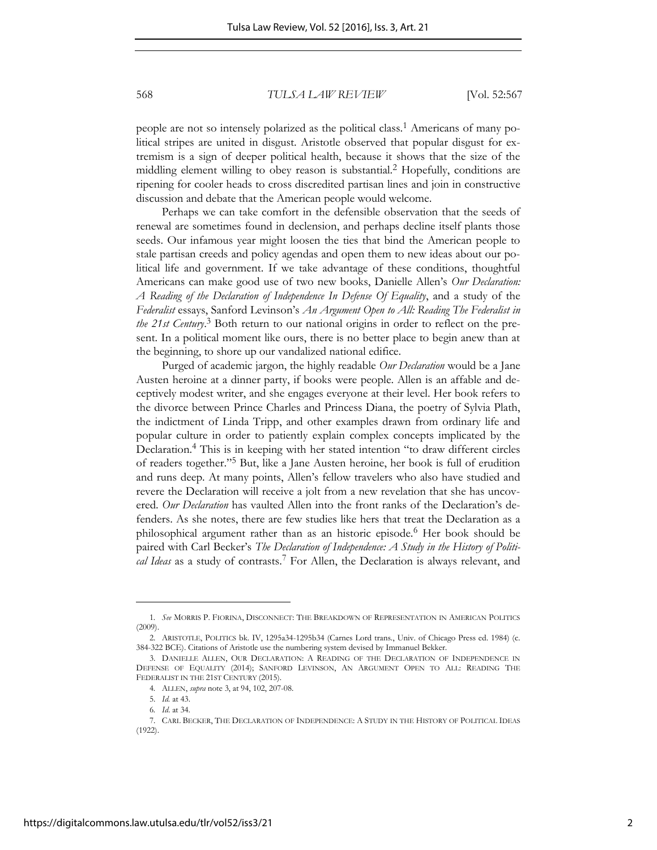people are not so intensely polarized as the political class.<sup>1</sup> Americans of many political stripes are united in disgust. Aristotle observed that popular disgust for extremism is a sign of deeper political health, because it shows that the size of the middling element willing to obey reason is substantial.<sup>2</sup> Hopefully, conditions are ripening for cooler heads to cross discredited partisan lines and join in constructive discussion and debate that the American people would welcome.

Perhaps we can take comfort in the defensible observation that the seeds of renewal are sometimes found in declension, and perhaps decline itself plants those seeds. Our infamous year might loosen the ties that bind the American people to stale partisan creeds and policy agendas and open them to new ideas about our political life and government. If we take advantage of these conditions, thoughtful Americans can make good use of two new books, Danielle Allen's *Our Declaration: A Reading of the Declaration of Independence In Defense Of Equality*, and a study of the *Federalist* essays, Sanford Levinson's *An Argument Open to All: Reading The Federalist in the 21st Century*. 3 Both return to our national origins in order to reflect on the present. In a political moment like ours, there is no better place to begin anew than at the beginning, to shore up our vandalized national edifice.

Purged of academic jargon, the highly readable *Our Declaration* would be a Jane Austen heroine at a dinner party, if books were people. Allen is an affable and deceptively modest writer, and she engages everyone at their level. Her book refers to the divorce between Prince Charles and Princess Diana, the poetry of Sylvia Plath, the indictment of Linda Tripp, and other examples drawn from ordinary life and popular culture in order to patiently explain complex concepts implicated by the Declaration.<sup>4</sup> This is in keeping with her stated intention "to draw different circles of readers together."<sup>5</sup> But, like a Jane Austen heroine, her book is full of erudition and runs deep. At many points, Allen's fellow travelers who also have studied and revere the Declaration will receive a jolt from a new revelation that she has uncovered. *Our Declaration* has vaulted Allen into the front ranks of the Declaration's defenders. As she notes, there are few studies like hers that treat the Declaration as a philosophical argument rather than as an historic episode.<sup>6</sup> Her book should be paired with Carl Becker's *The Declaration of Independence: A Study in the History of Politi*cal Ideas as a study of contrasts.<sup>7</sup> For Allen, the Declaration is always relevant, and

<sup>1</sup>*. See* MORRIS P. FIORINA, DISCONNECT: THE BREAKDOWN OF REPRESENTATION IN AMERICAN POLITICS (2009).

<sup>2.</sup> ARISTOTLE, POLITICS bk. IV, 1295a34-1295b34 (Carnes Lord trans., Univ. of Chicago Press ed. 1984) (c. 384-322 BCE). Citations of Aristotle use the numbering system devised by Immanuel Bekker.

<sup>3.</sup> DANIELLE ALLEN, OUR DECLARATION: A READING OF THE DECLARATION OF INDEPENDENCE IN DEFENSE OF EQUALITY (2014); SANFORD LEVINSON, AN ARGUMENT OPEN TO ALL: READING THE FEDERALIST IN THE 21ST CENTURY (2015).

<sup>4</sup>*.* ALLEN, *supra* note 3, at 94, 102, 207-08.

<sup>5.</sup> *Id.* at 43.

<sup>6</sup>*. Id*. at 34.

<sup>7.</sup> CARL BECKER, THE DECLARATION OF INDEPENDENCE: A STUDY IN THE HISTORY OF POLITICAL IDEAS  $(1922)$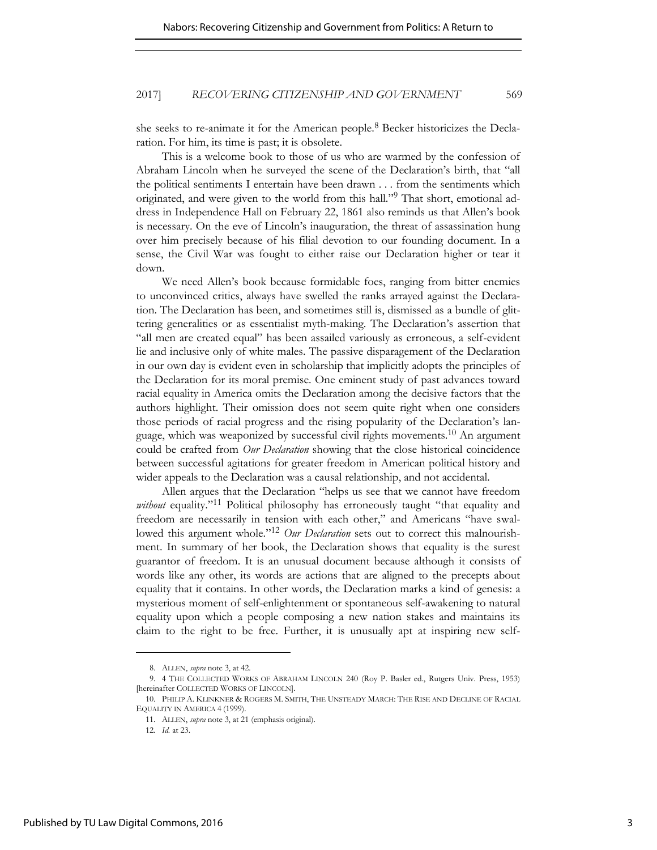she seeks to re-animate it for the American people.<sup>8</sup> Becker historicizes the Declaration. For him, its time is past; it is obsolete.

This is a welcome book to those of us who are warmed by the confession of Abraham Lincoln when he surveyed the scene of the Declaration's birth, that "all the political sentiments I entertain have been drawn . . . from the sentiments which originated, and were given to the world from this hall."<sup>9</sup> That short, emotional address in Independence Hall on February 22, 1861 also reminds us that Allen's book is necessary. On the eve of Lincoln's inauguration, the threat of assassination hung over him precisely because of his filial devotion to our founding document. In a sense, the Civil War was fought to either raise our Declaration higher or tear it down.

We need Allen's book because formidable foes, ranging from bitter enemies to unconvinced critics, always have swelled the ranks arrayed against the Declaration. The Declaration has been, and sometimes still is, dismissed as a bundle of glittering generalities or as essentialist myth-making. The Declaration's assertion that "all men are created equal" has been assailed variously as erroneous, a self-evident lie and inclusive only of white males. The passive disparagement of the Declaration in our own day is evident even in scholarship that implicitly adopts the principles of the Declaration for its moral premise. One eminent study of past advances toward racial equality in America omits the Declaration among the decisive factors that the authors highlight. Their omission does not seem quite right when one considers those periods of racial progress and the rising popularity of the Declaration's language, which was weaponized by successful civil rights movements.10 An argument could be crafted from *Our Declaration* showing that the close historical coincidence between successful agitations for greater freedom in American political history and wider appeals to the Declaration was a causal relationship, and not accidental.

Allen argues that the Declaration "helps us see that we cannot have freedom *without* equality."<sup>11</sup> Political philosophy has erroneously taught "that equality and freedom are necessarily in tension with each other," and Americans "have swallowed this argument whole."<sup>12</sup> *Our Declaration* sets out to correct this malnourishment. In summary of her book, the Declaration shows that equality is the surest guarantor of freedom. It is an unusual document because although it consists of words like any other, its words are actions that are aligned to the precepts about equality that it contains. In other words, the Declaration marks a kind of genesis: a mysterious moment of self-enlightenment or spontaneous self-awakening to natural equality upon which a people composing a new nation stakes and maintains its claim to the right to be free. Further, it is unusually apt at inspiring new self-

<sup>8.</sup> ALLEN, *supra* note 3, at 42.

<sup>9. 4</sup> THE COLLECTED WORKS OF ABRAHAM LINCOLN 240 (Roy P. Basler ed., Rutgers Univ. Press, 1953) [hereinafter COLLECTED WORKS OF LINCOLN].

<sup>10.</sup> PHILIP A. KLINKNER & ROGERS M. SMITH, THE UNSTEADY MARCH: THE RISE AND DECLINE OF RACIAL EQUALITY IN AMERICA 4 (1999).

<sup>11.</sup> ALLEN, *supra* note 3, at 21 (emphasis original).

<sup>12</sup>*. Id.* at 23.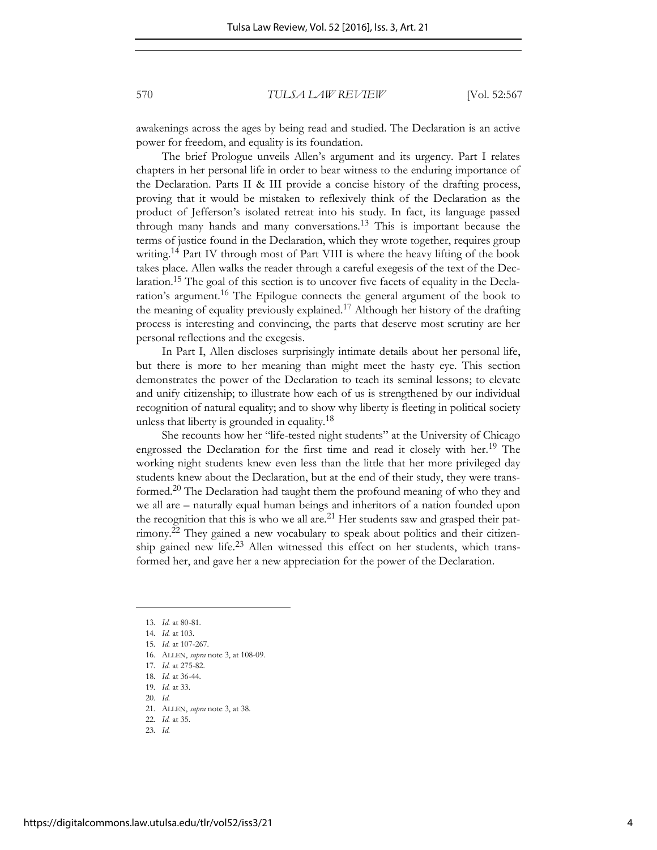awakenings across the ages by being read and studied. The Declaration is an active power for freedom, and equality is its foundation.

The brief Prologue unveils Allen's argument and its urgency. Part I relates chapters in her personal life in order to bear witness to the enduring importance of the Declaration. Parts II & III provide a concise history of the drafting process, proving that it would be mistaken to reflexively think of the Declaration as the product of Jefferson's isolated retreat into his study. In fact, its language passed through many hands and many conversations.<sup>13</sup> This is important because the terms of justice found in the Declaration, which they wrote together, requires group writing.<sup>14</sup> Part IV through most of Part VIII is where the heavy lifting of the book takes place. Allen walks the reader through a careful exegesis of the text of the Declaration.<sup>15</sup> The goal of this section is to uncover five facets of equality in the Declaration's argument.16 The Epilogue connects the general argument of the book to the meaning of equality previously explained.<sup>17</sup> Although her history of the drafting process is interesting and convincing, the parts that deserve most scrutiny are her personal reflections and the exegesis.

In Part I, Allen discloses surprisingly intimate details about her personal life, but there is more to her meaning than might meet the hasty eye. This section demonstrates the power of the Declaration to teach its seminal lessons; to elevate and unify citizenship; to illustrate how each of us is strengthened by our individual recognition of natural equality; and to show why liberty is fleeting in political society unless that liberty is grounded in equality.<sup>18</sup>

She recounts how her "life-tested night students" at the University of Chicago engrossed the Declaration for the first time and read it closely with her.<sup>19</sup> The working night students knew even less than the little that her more privileged day students knew about the Declaration, but at the end of their study, they were transformed.20 The Declaration had taught them the profound meaning of who they and we all are – naturally equal human beings and inheritors of a nation founded upon the recognition that this is who we all are. $^{21}$  Her students saw and grasped their patrimony.22 They gained a new vocabulary to speak about politics and their citizenship gained new life.23 Allen witnessed this effect on her students, which transformed her, and gave her a new appreciation for the power of the Declaration.

l

22*. Id.* at 35.

<sup>13</sup>*. Id.* at 80-81.

<sup>14</sup>*. Id.* at 103.

<sup>15</sup>*. Id.* at 107-267.

<sup>16</sup>*.* ALLEN, *supra* note 3, at 108-09.

<sup>17</sup>*. Id.* at 275-82.

<sup>18</sup>*. Id.* at 36-44.

<sup>19</sup>*. Id.* at 33. 20*. Id.*

<sup>21</sup>*.* ALLEN, *supra* note 3, at 38.

<sup>23</sup>*. Id.*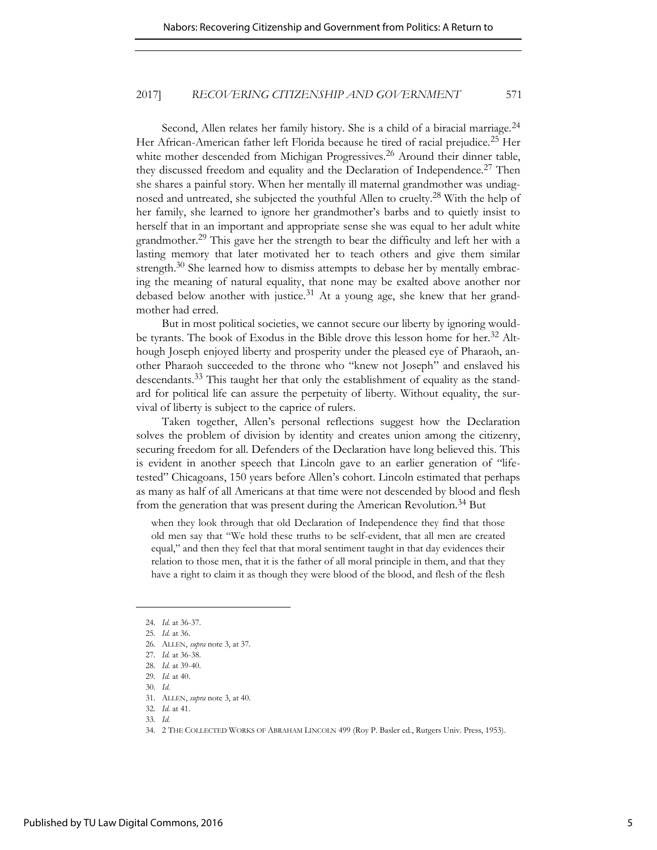Second, Allen relates her family history. She is a child of a biracial marriage.<sup>24</sup> Her African-American father left Florida because he tired of racial prejudice.<sup>25</sup> Her white mother descended from Michigan Progressives.<sup>26</sup> Around their dinner table, they discussed freedom and equality and the Declaration of Independence.<sup>27</sup> Then she shares a painful story. When her mentally ill maternal grandmother was undiagnosed and untreated, she subjected the youthful Allen to cruelty.28 With the help of her family, she learned to ignore her grandmother's barbs and to quietly insist to herself that in an important and appropriate sense she was equal to her adult white grandmother.29 This gave her the strength to bear the difficulty and left her with a lasting memory that later motivated her to teach others and give them similar strength. $30$  She learned how to dismiss attempts to debase her by mentally embracing the meaning of natural equality, that none may be exalted above another nor debased below another with justice.<sup>31</sup> At a young age, she knew that her grandmother had erred.

But in most political societies, we cannot secure our liberty by ignoring wouldbe tyrants. The book of Exodus in the Bible drove this lesson home for her.<sup>32</sup> Although Joseph enjoyed liberty and prosperity under the pleased eye of Pharaoh, another Pharaoh succeeded to the throne who "knew not Joseph" and enslaved his descendants.33 This taught her that only the establishment of equality as the standard for political life can assure the perpetuity of liberty. Without equality, the survival of liberty is subject to the caprice of rulers.

Taken together, Allen's personal reflections suggest how the Declaration solves the problem of division by identity and creates union among the citizenry, securing freedom for all. Defenders of the Declaration have long believed this. This is evident in another speech that Lincoln gave to an earlier generation of "lifetested" Chicagoans, 150 years before Allen's cohort. Lincoln estimated that perhaps as many as half of all Americans at that time were not descended by blood and flesh from the generation that was present during the American Revolution.<sup>34</sup> But

when they look through that old Declaration of Independence they find that those old men say that "We hold these truths to be self-evident, that all men are created equal," and then they feel that that moral sentiment taught in that day evidences their relation to those men, that it is the father of all moral principle in them, and that they have a right to claim it as though they were blood of the blood, and flesh of the flesh

<sup>24</sup>*. Id.* at 36-37.

<sup>25</sup>*. Id.* at 36.

<sup>26</sup>*.* ALLEN, *supra* note 3, at 37.

<sup>27</sup>*. Id.* at 36-38.

<sup>28</sup>*. Id.* at 39-40.

<sup>29</sup>*. Id.* at 40.

<sup>30</sup>*. Id.*

<sup>31</sup>*.* ALLEN, *supra* note 3, at 40.

<sup>32</sup>*. Id.* at 41. 33*. Id.*

<sup>34</sup>*.* 2 THE COLLECTED WORKS OF ABRAHAM LINCOLN 499 (Roy P. Basler ed., Rutgers Univ. Press, 1953).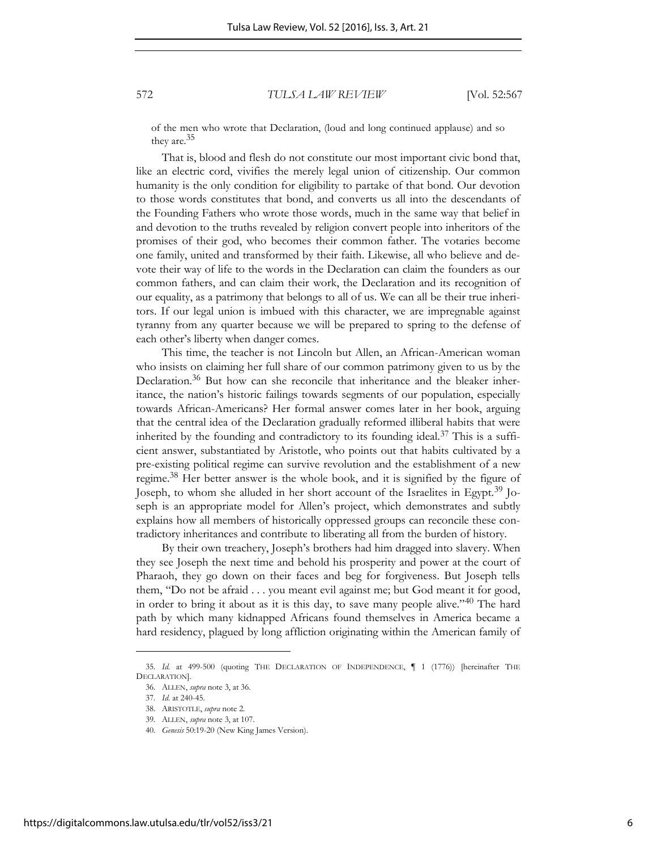of the men who wrote that Declaration, (loud and long continued applause) and so they are.<sup>35</sup>

That is, blood and flesh do not constitute our most important civic bond that, like an electric cord, vivifies the merely legal union of citizenship. Our common humanity is the only condition for eligibility to partake of that bond. Our devotion to those words constitutes that bond, and converts us all into the descendants of the Founding Fathers who wrote those words, much in the same way that belief in and devotion to the truths revealed by religion convert people into inheritors of the promises of their god, who becomes their common father. The votaries become one family, united and transformed by their faith. Likewise, all who believe and devote their way of life to the words in the Declaration can claim the founders as our common fathers, and can claim their work, the Declaration and its recognition of our equality, as a patrimony that belongs to all of us. We can all be their true inheritors. If our legal union is imbued with this character, we are impregnable against tyranny from any quarter because we will be prepared to spring to the defense of each other's liberty when danger comes.

This time, the teacher is not Lincoln but Allen, an African-American woman who insists on claiming her full share of our common patrimony given to us by the Declaration.<sup>36</sup> But how can she reconcile that inheritance and the bleaker inheritance, the nation's historic failings towards segments of our population, especially towards African-Americans? Her formal answer comes later in her book, arguing that the central idea of the Declaration gradually reformed illiberal habits that were inherited by the founding and contradictory to its founding ideal.<sup>37</sup> This is a sufficient answer, substantiated by Aristotle, who points out that habits cultivated by a pre-existing political regime can survive revolution and the establishment of a new regime.38 Her better answer is the whole book, and it is signified by the figure of Joseph, to whom she alluded in her short account of the Israelites in Egypt.<sup>39</sup> Joseph is an appropriate model for Allen's project, which demonstrates and subtly explains how all members of historically oppressed groups can reconcile these contradictory inheritances and contribute to liberating all from the burden of history.

By their own treachery, Joseph's brothers had him dragged into slavery. When they see Joseph the next time and behold his prosperity and power at the court of Pharaoh, they go down on their faces and beg for forgiveness. But Joseph tells them, "Do not be afraid . . . you meant evil against me; but God meant it for good, in order to bring it about as it is this day, to save many people alive."40 The hard path by which many kidnapped Africans found themselves in America became a hard residency, plagued by long affliction originating within the American family of

<sup>35.</sup> *Id.* at 499-500 (quoting THE DECLARATION OF INDEPENDENCE, ¶ 1 (1776)) [hereinafter THE DECLARATION].

<sup>36.</sup> ALLEN, *supra* note 3, at 36.

<sup>37</sup>*. Id.* at 240-45.

<sup>38.</sup> ARISTOTLE, *supra* note 2.

<sup>39</sup>*.* ALLEN, *supra* note 3, at 107.

<sup>40</sup>*. Genesis* 50:19-20 (New King James Version).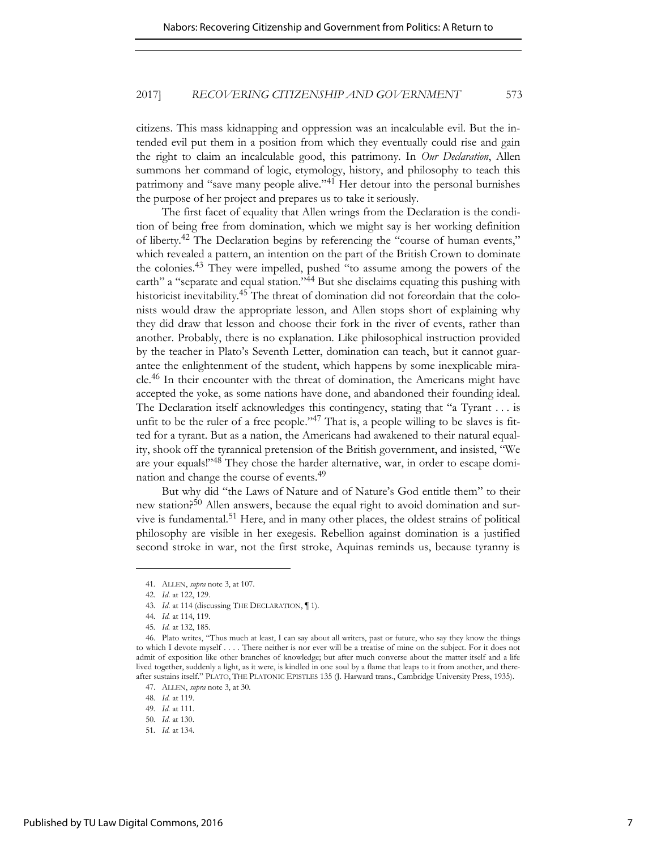citizens. This mass kidnapping and oppression was an incalculable evil. But the intended evil put them in a position from which they eventually could rise and gain the right to claim an incalculable good, this patrimony. In *Our Declaration*, Allen summons her command of logic, etymology, history, and philosophy to teach this patrimony and "save many people alive."<sup>41</sup> Her detour into the personal burnishes the purpose of her project and prepares us to take it seriously.

The first facet of equality that Allen wrings from the Declaration is the condition of being free from domination, which we might say is her working definition of liberty.<sup>42</sup> The Declaration begins by referencing the "course of human events," which revealed a pattern, an intention on the part of the British Crown to dominate the colonies.<sup>43</sup> They were impelled, pushed "to assume among the powers of the earth" a "separate and equal station."<sup>44</sup> But she disclaims equating this pushing with historicist inevitability.45 The threat of domination did not foreordain that the colonists would draw the appropriate lesson, and Allen stops short of explaining why they did draw that lesson and choose their fork in the river of events, rather than another. Probably, there is no explanation. Like philosophical instruction provided by the teacher in Plato's Seventh Letter, domination can teach, but it cannot guarantee the enlightenment of the student, which happens by some inexplicable miracle.46 In their encounter with the threat of domination, the Americans might have accepted the yoke, as some nations have done, and abandoned their founding ideal. The Declaration itself acknowledges this contingency, stating that "a Tyrant . . . is unfit to be the ruler of a free people." <sup>47</sup> That is, a people willing to be slaves is fitted for a tyrant. But as a nation, the Americans had awakened to their natural equality, shook off the tyrannical pretension of the British government, and insisted, "We are your equals!"48 They chose the harder alternative, war, in order to escape domination and change the course of events.<sup>49</sup>

But why did "the Laws of Nature and of Nature's God entitle them" to their new station?50 Allen answers, because the equal right to avoid domination and survive is fundamental.<sup>51</sup> Here, and in many other places, the oldest strains of political philosophy are visible in her exegesis. Rebellion against domination is a justified second stroke in war, not the first stroke, Aquinas reminds us, because tyranny is

<sup>41</sup>*.* ALLEN, *supra* note 3, at 107.

<sup>42.</sup> *Id*. at 122, 129.

<sup>43</sup>*. Id*. at 114 (discussing THE DECLARATION, ¶ 1).

<sup>44</sup>*. Id.* at 114, 119.

<sup>45</sup>*. Id.* at 132, 185.

<sup>46.</sup> Plato writes, "Thus much at least, I can say about all writers, past or future, who say they know the things to which I devote myself . . . . There neither is nor ever will be a treatise of mine on the subject. For it does not admit of exposition like other branches of knowledge; but after much converse about the matter itself and a life lived together, suddenly a light, as it were, is kindled in one soul by a flame that leaps to it from another, and thereafter sustains itself." PLATO, THE PLATONIC EPISTLES 135 (J. Harward trans., Cambridge University Press, 1935).

<sup>47.</sup> ALLEN, *supra* note 3, at 30.

<sup>48</sup>*. Id.* at 119.

<sup>49</sup>*. Id.* at 111.

<sup>50</sup>*. Id*. at 130.

<sup>51</sup>*. Id.* at 134.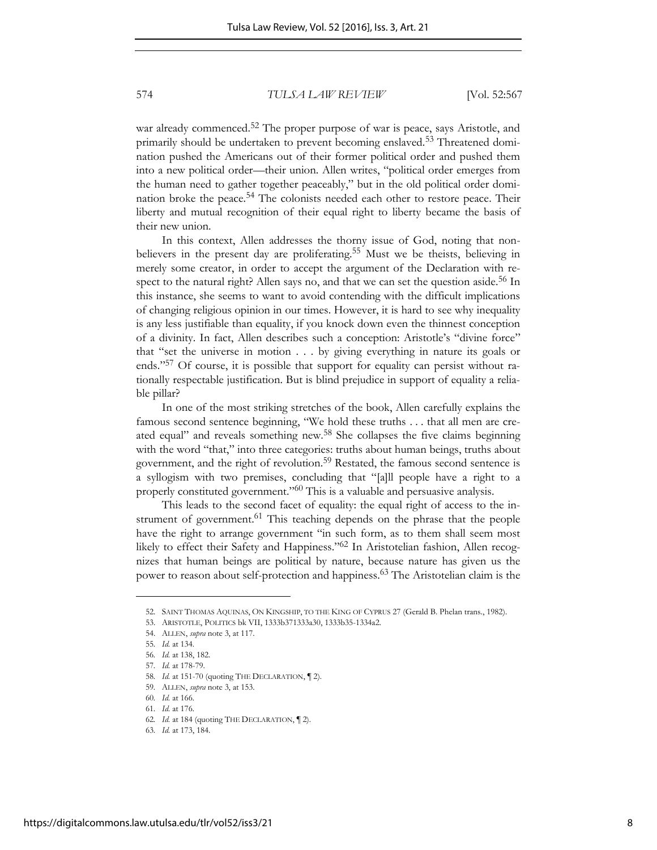war already commenced.<sup>52</sup> The proper purpose of war is peace, says Aristotle, and primarily should be undertaken to prevent becoming enslaved.<sup>53</sup> Threatened domination pushed the Americans out of their former political order and pushed them into a new political order—their union. Allen writes, "political order emerges from the human need to gather together peaceably," but in the old political order domination broke the peace.<sup>54</sup> The colonists needed each other to restore peace. Their liberty and mutual recognition of their equal right to liberty became the basis of their new union.

In this context, Allen addresses the thorny issue of God, noting that nonbelievers in the present day are proliferating.<sup>55</sup> Must we be theists, believing in merely some creator, in order to accept the argument of the Declaration with respect to the natural right? Allen says no, and that we can set the question aside.<sup>56</sup> In this instance, she seems to want to avoid contending with the difficult implications of changing religious opinion in our times. However, it is hard to see why inequality is any less justifiable than equality, if you knock down even the thinnest conception of a divinity. In fact, Allen describes such a conception: Aristotle's "divine force" that "set the universe in motion . . . by giving everything in nature its goals or ends."<sup>57</sup> Of course, it is possible that support for equality can persist without rationally respectable justification. But is blind prejudice in support of equality a reliable pillar?

In one of the most striking stretches of the book, Allen carefully explains the famous second sentence beginning, "We hold these truths . . . that all men are created equal" and reveals something new.58 She collapses the five claims beginning with the word "that," into three categories: truths about human beings, truths about government, and the right of revolution.59 Restated, the famous second sentence is a syllogism with two premises, concluding that "[a]ll people have a right to a properly constituted government."<sup>60</sup> This is a valuable and persuasive analysis.

This leads to the second facet of equality: the equal right of access to the instrument of government.<sup>61</sup> This teaching depends on the phrase that the people have the right to arrange government "in such form, as to them shall seem most likely to effect their Safety and Happiness."62 In Aristotelian fashion, Allen recognizes that human beings are political by nature, because nature has given us the power to reason about self-protection and happiness.<sup>63</sup> The Aristotelian claim is the

<sup>52.</sup> SAINT THOMAS AQUINAS, ON KINGSHIP, TO THE KING OF CYPRUS 27 (Gerald B. Phelan trans., 1982).

<sup>53.</sup> ARISTOTLE, POLITICS bk VII, 1333b371333a30, 1333b35-1334a2.

<sup>54.</sup> ALLEN, *supra* note 3, at 117.

<sup>55</sup>*. Id.* at 134.

<sup>56</sup>*. Id.* at 138, 182. 57*. Id.* at 178-79.

<sup>58</sup>*. Id.* at 151-70 (quoting THE DECLARATION, ¶ 2).

<sup>59</sup>*.* ALLEN, *supra* note 3, at 153.

<sup>60</sup>*. Id.* at 166.

<sup>61</sup>*. Id.* at 176.

<sup>62</sup>*. Id.* at 184 (quoting THE DECLARATION, ¶ 2).

<sup>63</sup>*. Id.* at 173, 184.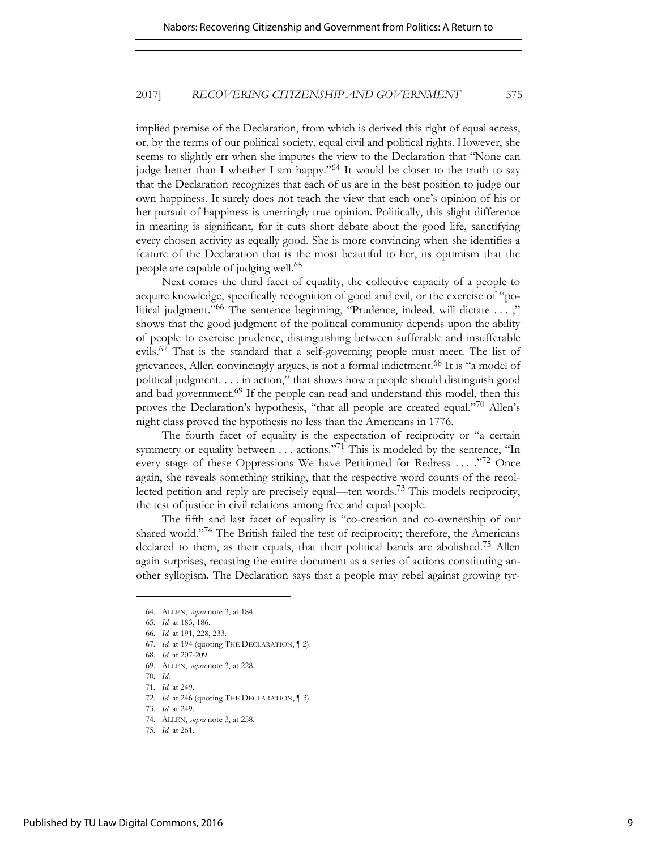implied premise of the Declaration, from which is derived this right of equal access, or, by the terms of our political society, equal civil and political rights. However, she seems to slightly err when she imputes the view to the Declaration that "None can judge better than I whether I am happy."<sup>64</sup> It would be closer to the truth to say that the Declaration recognizes that each of us are in the best position to judge our own happiness. It surely does not teach the view that each one's opinion of his or her pursuit of happiness is unerringly true opinion. Politically, this slight difference in meaning is significant, for it cuts short debate about the good life, sanctifying every chosen activity as equally good. She is more convincing when she identifies a feature of the Declaration that is the most beautiful to her, its optimism that the people are capable of judging well.<sup>65</sup>

Next comes the third facet of equality, the collective capacity of a people to acquire knowledge, specifically recognition of good and evil, or the exercise of "political judgment."<sup>66</sup> The sentence beginning, "Prudence, indeed, will dictate ...," shows that the good judgment of the political community depends upon the ability of people to exercise prudence, distinguishing between sufferable and insufferable evils.<sup>67</sup> That is the standard that a self-governing people must meet. The list of grievances, Allen convincingly argues, is not a formal indictment.<sup>68</sup> It is "a model of political judgment. . . . in action," that shows how a people should distinguish good and bad government.<sup>69</sup> If the people can read and understand this model, then this proves the Declaration's hypothesis, "that all people are created equal."<sup>70</sup> Allen's night class proved the hypothesis no less than the Americans in 1776.

The fourth facet of equality is the expectation of reciprocity or "a certain symmetry or equality between  $\dots$  actions."<sup>71</sup> This is modeled by the sentence, "In every stage of these Oppressions We have Petitioned for Redress . . . . "72 Once again, she reveals something striking, that the respective word counts of the recollected petition and reply are precisely equal—ten words.73 This models reciprocity, the test of justice in civil relations among free and equal people.

The fifth and last facet of equality is "co-creation and co-ownership of our shared world."<sup>74</sup> The British failed the test of reciprocity; therefore, the Americans declared to them, as their equals, that their political bands are abolished.75 Allen again surprises, recasting the entire document as a series of actions constituting another syllogism. The Declaration says that a people may rebel against growing tyr-

<sup>64</sup>*.* ALLEN, *supra* note 3, at 184.

<sup>65</sup>*. Id.* at 183, 186.

<sup>66</sup>*. Id.* at 191, 228, 233.

<sup>67</sup>*. Id.* at 194 (quoting THE DECLARATION, ¶ 2).

<sup>68</sup>*. Id.* at 207-209.

<sup>69</sup>*.* ALLEN, *supra* note 3, at 228.

<sup>70</sup>*. Id*.

<sup>71</sup>*. Id.* at 249.

<sup>72</sup>*. Id.* at 246 (quoting THE DECLARATION, ¶ 3).

<sup>73</sup>*. Id.* at 249.

<sup>74</sup>*.* ALLEN, *supra* note 3, at 258.

<sup>75</sup>*. Id.* at 261.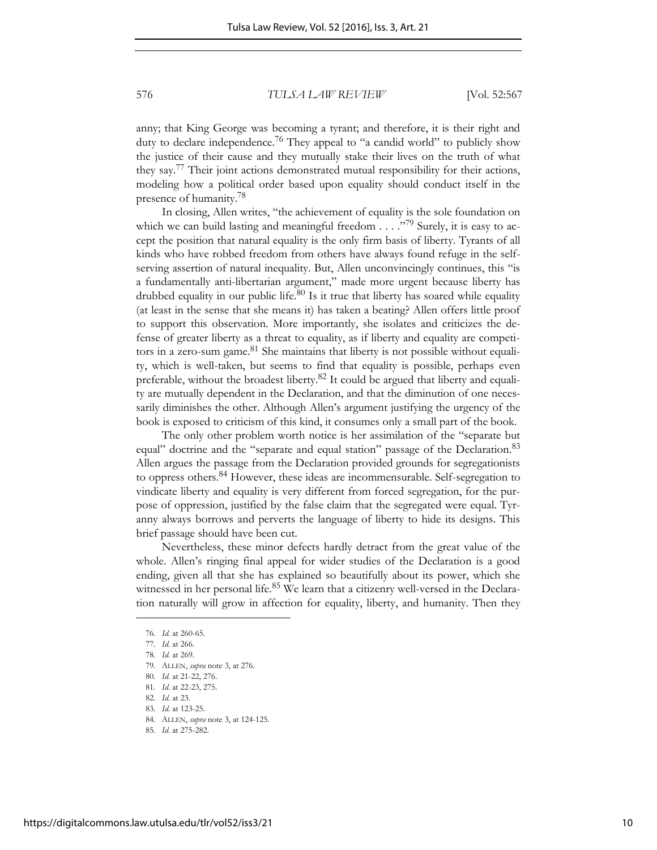anny; that King George was becoming a tyrant; and therefore, it is their right and duty to declare independence.<sup>76</sup> They appeal to "a candid world" to publicly show the justice of their cause and they mutually stake their lives on the truth of what they say.77 Their joint actions demonstrated mutual responsibility for their actions, modeling how a political order based upon equality should conduct itself in the presence of humanity.<sup>78</sup>

In closing, Allen writes, "the achievement of equality is the sole foundation on which we can build lasting and meaningful freedom  $\ldots$ ."<sup>79</sup> Surely, it is easy to accept the position that natural equality is the only firm basis of liberty. Tyrants of all kinds who have robbed freedom from others have always found refuge in the selfserving assertion of natural inequality. But, Allen unconvincingly continues, this "is a fundamentally anti-libertarian argument," made more urgent because liberty has drubbed equality in our public life. $80$  Is it true that liberty has soared while equality (at least in the sense that she means it) has taken a beating? Allen offers little proof to support this observation. More importantly, she isolates and criticizes the defense of greater liberty as a threat to equality, as if liberty and equality are competitors in a zero-sum game. $81$  She maintains that liberty is not possible without equality, which is well-taken, but seems to find that equality is possible, perhaps even preferable, without the broadest liberty.82 It could be argued that liberty and equality are mutually dependent in the Declaration, and that the diminution of one necessarily diminishes the other. Although Allen's argument justifying the urgency of the book is exposed to criticism of this kind, it consumes only a small part of the book.

The only other problem worth notice is her assimilation of the "separate but equal" doctrine and the "separate and equal station" passage of the Declaration.<sup>83</sup> Allen argues the passage from the Declaration provided grounds for segregationists to oppress others.<sup>84</sup> However, these ideas are incommensurable. Self-segregation to vindicate liberty and equality is very different from forced segregation, for the purpose of oppression, justified by the false claim that the segregated were equal. Tyranny always borrows and perverts the language of liberty to hide its designs. This brief passage should have been cut.

Nevertheless, these minor defects hardly detract from the great value of the whole. Allen's ringing final appeal for wider studies of the Declaration is a good ending, given all that she has explained so beautifully about its power, which she witnessed in her personal life.<sup>85</sup> We learn that a citizenry well-versed in the Declaration naturally will grow in affection for equality, liberty, and humanity. Then they

<sup>76</sup>*. Id.* at 260-65.

<sup>77</sup>*. Id.* at 266.

<sup>78</sup>*. Id.* at 269.

<sup>79</sup>*.* ALLEN, *supra* note 3, at 276.

<sup>80</sup>*. Id.* at 21-22, 276.

<sup>81</sup>*. Id*. at 22-23, 275.

<sup>82</sup>*. Id*. at 23.

<sup>83</sup>*. Id.* at 123-25.

<sup>84</sup>*.* ALLEN, *supra* note 3, at 124-125.

<sup>85</sup>*. Id*. at 275-282.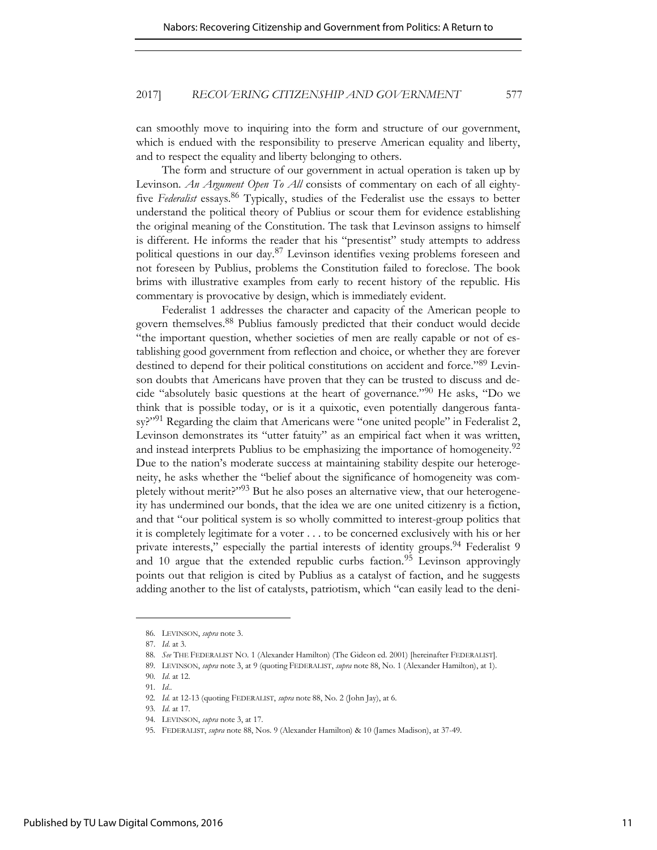can smoothly move to inquiring into the form and structure of our government, which is endued with the responsibility to preserve American equality and liberty, and to respect the equality and liberty belonging to others.

The form and structure of our government in actual operation is taken up by Levinson. *An Argument Open To All* consists of commentary on each of all eightyfive *Federalist* essays.86 Typically, studies of the Federalist use the essays to better understand the political theory of Publius or scour them for evidence establishing the original meaning of the Constitution. The task that Levinson assigns to himself is different. He informs the reader that his "presentist" study attempts to address political questions in our day.87 Levinson identifies vexing problems foreseen and not foreseen by Publius, problems the Constitution failed to foreclose. The book brims with illustrative examples from early to recent history of the republic. His commentary is provocative by design, which is immediately evident.

Federalist 1 addresses the character and capacity of the American people to govern themselves.88 Publius famously predicted that their conduct would decide "the important question, whether societies of men are really capable or not of establishing good government from reflection and choice, or whether they are forever destined to depend for their political constitutions on accident and force."89 Levinson doubts that Americans have proven that they can be trusted to discuss and decide "absolutely basic questions at the heart of governance."<sup>90</sup> He asks, "Do we think that is possible today, or is it a quixotic, even potentially dangerous fantasy?"<sup>91</sup> Regarding the claim that Americans were "one united people" in Federalist 2, Levinson demonstrates its "utter fatuity" as an empirical fact when it was written, and instead interprets Publius to be emphasizing the importance of homogeneity.<sup>92</sup> Due to the nation's moderate success at maintaining stability despite our heterogeneity, he asks whether the "belief about the significance of homogeneity was completely without merit?"93 But he also poses an alternative view, that our heterogeneity has undermined our bonds, that the idea we are one united citizenry is a fiction, and that "our political system is so wholly committed to interest-group politics that it is completely legitimate for a voter . . . to be concerned exclusively with his or her private interests," especially the partial interests of identity groups.<sup>94</sup> Federalist 9 and 10 argue that the extended republic curbs faction.<sup>95</sup> Levinson approvingly points out that religion is cited by Publius as a catalyst of faction, and he suggests adding another to the list of catalysts, patriotism, which "can easily lead to the deni-

<sup>86</sup>*.* LEVINSON, *supra* note 3.

<sup>87.</sup> *Id*. at 3.

<sup>88</sup>*. See* THE FEDERALIST NO. 1 (Alexander Hamilton) (The Gideon ed. 2001) [hereinafter FEDERALIST].

<sup>89</sup>*.* LEVINSON, *supra* note 3, at 9 (quoting FEDERALIST, *supra* note 88, No. 1 (Alexander Hamilton), at 1).

<sup>90</sup>*. Id*. at 12.

<sup>91</sup>*. Id*..

<sup>92</sup>*. Id.* at 12-13 (quoting FEDERALIST, *supra* note 88, No. 2 (John Jay), at 6.

<sup>93</sup>*. Id*. at 17.

<sup>94</sup>*.* LEVINSON, *supra* note 3, at 17.

<sup>95</sup>*.* FEDERALIST, *supra* note 88, Nos. 9 (Alexander Hamilton) & 10 (James Madison), at 37-49.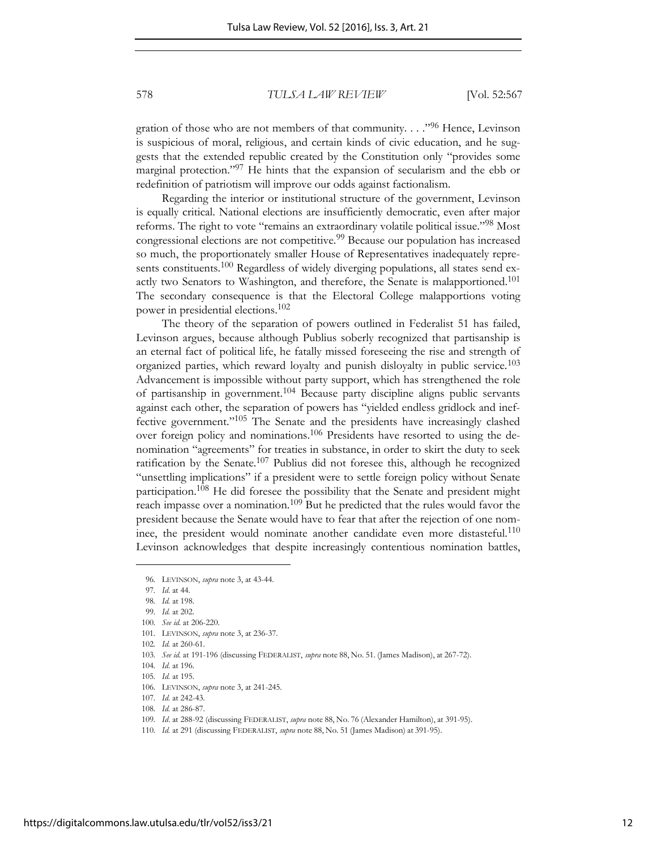gration of those who are not members of that community. . . . "<sup>96</sup> Hence, Levinson is suspicious of moral, religious, and certain kinds of civic education, and he suggests that the extended republic created by the Constitution only "provides some marginal protection."97 He hints that the expansion of secularism and the ebb or redefinition of patriotism will improve our odds against factionalism.

Regarding the interior or institutional structure of the government, Levinson is equally critical. National elections are insufficiently democratic, even after major reforms. The right to vote "remains an extraordinary volatile political issue."<sup>98</sup> Most congressional elections are not competitive.<sup>99</sup> Because our population has increased so much, the proportionately smaller House of Representatives inadequately represents constituents.<sup>100</sup> Regardless of widely diverging populations, all states send exactly two Senators to Washington, and therefore, the Senate is malapportioned.<sup>101</sup> The secondary consequence is that the Electoral College malapportions voting power in presidential elections.<sup>102</sup>

The theory of the separation of powers outlined in Federalist 51 has failed, Levinson argues, because although Publius soberly recognized that partisanship is an eternal fact of political life, he fatally missed foreseeing the rise and strength of organized parties, which reward loyalty and punish disloyalty in public service.<sup>103</sup> Advancement is impossible without party support, which has strengthened the role of partisanship in government.104 Because party discipline aligns public servants against each other, the separation of powers has "yielded endless gridlock and ineffective government."105 The Senate and the presidents have increasingly clashed over foreign policy and nominations.106 Presidents have resorted to using the denomination "agreements" for treaties in substance, in order to skirt the duty to seek ratification by the Senate. $107$  Publius did not foresee this, although he recognized "unsettling implications" if a president were to settle foreign policy without Senate participation.108 He did foresee the possibility that the Senate and president might reach impasse over a nomination.<sup>109</sup> But he predicted that the rules would favor the president because the Senate would have to fear that after the rejection of one nominee, the president would nominate another candidate even more distasteful.<sup>110</sup> Levinson acknowledges that despite increasingly contentious nomination battles,

<sup>96</sup>*.* LEVINSON, *supra* note 3, at 43-44.

<sup>97</sup>*. Id*. at 44.

<sup>98</sup>*. Id.* at 198.

<sup>99</sup>*. Id.* at 202.

<sup>100</sup>*. See id*. at 206-220.

<sup>101</sup>*.* LEVINSON, *supra* note 3, at 236-37.

<sup>102</sup>*. Id.* at 260-61.

<sup>103</sup>*. See id*. at 191-196 (discussing FEDERALIST, *supra* note 88, No. 51. (James Madison), at 267-72).

<sup>104</sup>*. Id*. at 196.

<sup>105</sup>*. Id.* at 195.

<sup>106</sup>*.* LEVINSON, *supra* note 3, at 241-245.

<sup>107</sup>*. Id.* at 242-43.

<sup>108</sup>*. Id.* at 286-87.

<sup>109</sup>*. Id*. at 288-92 (discussing FEDERALIST, *supra* note 88, No. 76 (Alexander Hamilton), at 391-95).

<sup>110</sup>*. Id.* at 291 (discussing FEDERALIST, *supra* note 88, No. 51 (James Madison) at 391-95).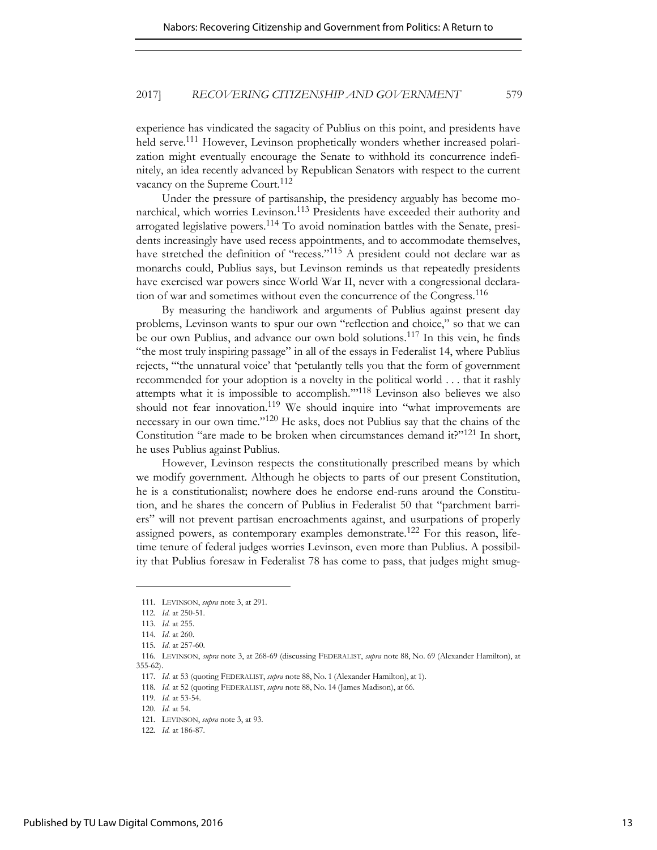experience has vindicated the sagacity of Publius on this point, and presidents have held serve.<sup>111</sup> However, Levinson prophetically wonders whether increased polarization might eventually encourage the Senate to withhold its concurrence indefinitely, an idea recently advanced by Republican Senators with respect to the current vacancy on the Supreme Court.<sup>112</sup>

Under the pressure of partisanship, the presidency arguably has become monarchical, which worries Levinson.113 Presidents have exceeded their authority and arrogated legislative powers.114 To avoid nomination battles with the Senate, presidents increasingly have used recess appointments, and to accommodate themselves, have stretched the definition of "recess."<sup>115</sup> A president could not declare war as monarchs could, Publius says, but Levinson reminds us that repeatedly presidents have exercised war powers since World War II, never with a congressional declaration of war and sometimes without even the concurrence of the Congress.<sup>116</sup>

By measuring the handiwork and arguments of Publius against present day problems, Levinson wants to spur our own "reflection and choice," so that we can be our own Publius, and advance our own bold solutions.117 In this vein, he finds "the most truly inspiring passage" in all of the essays in Federalist 14, where Publius rejects, "'the unnatural voice' that 'petulantly tells you that the form of government recommended for your adoption is a novelty in the political world . . . that it rashly attempts what it is impossible to accomplish.'"118 Levinson also believes we also should not fear innovation.<sup>119</sup> We should inquire into "what improvements are necessary in our own time."120 He asks, does not Publius say that the chains of the Constitution "are made to be broken when circumstances demand it?"<sup>121</sup> In short, he uses Publius against Publius.

However, Levinson respects the constitutionally prescribed means by which we modify government. Although he objects to parts of our present Constitution, he is a constitutionalist; nowhere does he endorse end-runs around the Constitution, and he shares the concern of Publius in Federalist 50 that "parchment barriers" will not prevent partisan encroachments against, and usurpations of properly assigned powers, as contemporary examples demonstrate.<sup>122</sup> For this reason, lifetime tenure of federal judges worries Levinson, even more than Publius. A possibility that Publius foresaw in Federalist 78 has come to pass, that judges might smug-

<sup>111</sup>*.* LEVINSON, *supra* note 3, at 291.

<sup>112</sup>*. Id.* at 250-51.

<sup>113</sup>*. Id.* at 255.

<sup>114</sup>*. Id*. at 260.

<sup>115</sup>*. Id*. at 257-60.

<sup>116</sup>*.* LEVINSON, *supra* note 3, at 268-69 (discussing FEDERALIST, *supra* note 88, No. 69 (Alexander Hamilton), at 355-62).

<sup>117</sup>*. Id*. at 53 (quoting FEDERALIST, *supra* note 88, No. 1 (Alexander Hamilton), at 1).

<sup>118</sup>*. Id.* at 52 (quoting FEDERALIST, *supra* note 88, No. 14 (James Madison), at 66.

<sup>119</sup>*. Id.* at 53-54.

<sup>120</sup>*. Id.* at 54.

<sup>121</sup>*.* LEVINSON, *supra* note 3, at 93.

<sup>122</sup>*. Id.* at 186-87.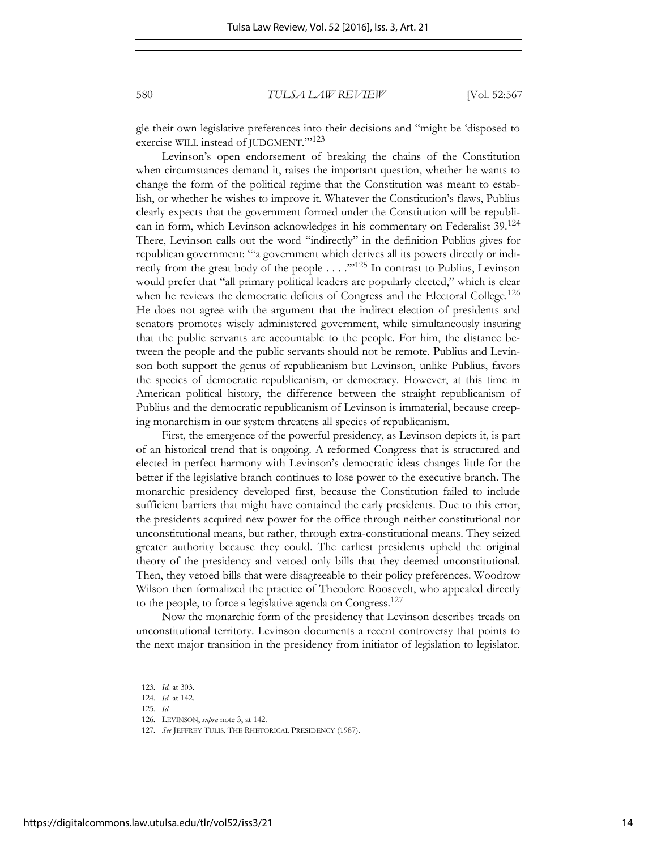gle their own legislative preferences into their decisions and "might be 'disposed to exercise WILL instead of JUDGMENT.">123

Levinson's open endorsement of breaking the chains of the Constitution when circumstances demand it, raises the important question, whether he wants to change the form of the political regime that the Constitution was meant to establish, or whether he wishes to improve it. Whatever the Constitution's flaws, Publius clearly expects that the government formed under the Constitution will be republican in form, which Levinson acknowledges in his commentary on Federalist 39.<sup>124</sup> There, Levinson calls out the word "indirectly" in the definition Publius gives for republican government: "'a government which derives all its powers directly or indirectly from the great body of the people  $\ldots$ ."<sup>125</sup> In contrast to Publius, Levinson would prefer that "all primary political leaders are popularly elected," which is clear when he reviews the democratic deficits of Congress and the Electoral College.<sup>126</sup> He does not agree with the argument that the indirect election of presidents and senators promotes wisely administered government, while simultaneously insuring that the public servants are accountable to the people. For him, the distance between the people and the public servants should not be remote. Publius and Levinson both support the genus of republicanism but Levinson, unlike Publius, favors the species of democratic republicanism, or democracy. However, at this time in American political history, the difference between the straight republicanism of Publius and the democratic republicanism of Levinson is immaterial, because creeping monarchism in our system threatens all species of republicanism.

First, the emergence of the powerful presidency, as Levinson depicts it, is part of an historical trend that is ongoing. A reformed Congress that is structured and elected in perfect harmony with Levinson's democratic ideas changes little for the better if the legislative branch continues to lose power to the executive branch. The monarchic presidency developed first, because the Constitution failed to include sufficient barriers that might have contained the early presidents. Due to this error, the presidents acquired new power for the office through neither constitutional nor unconstitutional means, but rather, through extra-constitutional means. They seized greater authority because they could. The earliest presidents upheld the original theory of the presidency and vetoed only bills that they deemed unconstitutional. Then, they vetoed bills that were disagreeable to their policy preferences. Woodrow Wilson then formalized the practice of Theodore Roosevelt, who appealed directly to the people, to force a legislative agenda on Congress.<sup>127</sup>

Now the monarchic form of the presidency that Levinson describes treads on unconstitutional territory. Levinson documents a recent controversy that points to the next major transition in the presidency from initiator of legislation to legislator.

<sup>123</sup>*. Id.* at 303.

<sup>124</sup>*. Id.* at 142.

<sup>125</sup>*. Id.*

<sup>126</sup>*.* LEVINSON, *supra* note 3, at 142.

<sup>127</sup>*. See* JEFFREY TULIS, THE RHETORICAL PRESIDENCY (1987).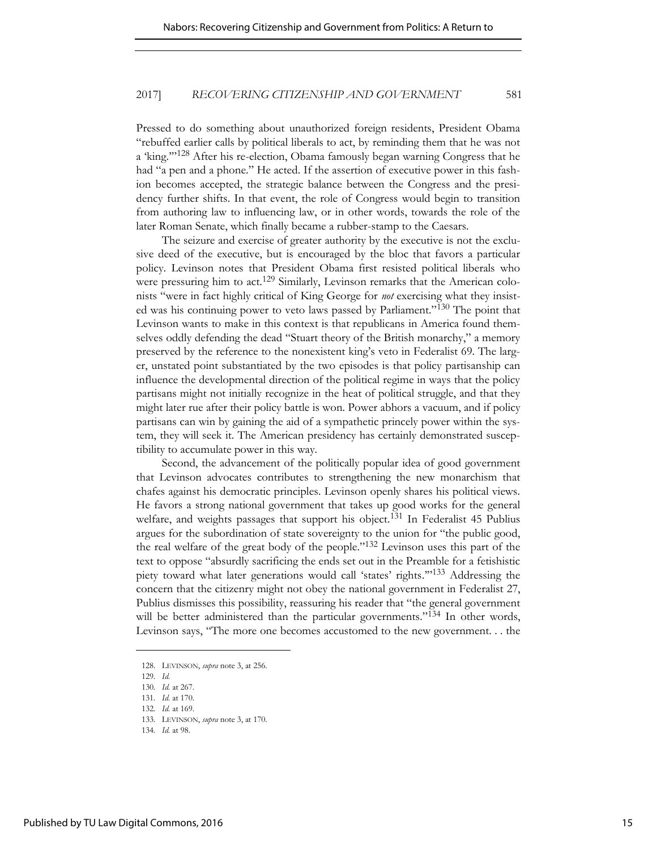Pressed to do something about unauthorized foreign residents, President Obama "rebuffed earlier calls by political liberals to act, by reminding them that he was not a 'king.'"128 After his re-election, Obama famously began warning Congress that he had "a pen and a phone." He acted. If the assertion of executive power in this fashion becomes accepted, the strategic balance between the Congress and the presidency further shifts. In that event, the role of Congress would begin to transition from authoring law to influencing law, or in other words, towards the role of the later Roman Senate, which finally became a rubber-stamp to the Caesars.

The seizure and exercise of greater authority by the executive is not the exclusive deed of the executive, but is encouraged by the bloc that favors a particular policy. Levinson notes that President Obama first resisted political liberals who were pressuring him to act.<sup>129</sup> Similarly, Levinson remarks that the American colonists "were in fact highly critical of King George for *not* exercising what they insisted was his continuing power to veto laws passed by Parliament."130 The point that Levinson wants to make in this context is that republicans in America found themselves oddly defending the dead "Stuart theory of the British monarchy," a memory preserved by the reference to the nonexistent king's veto in Federalist 69. The larger, unstated point substantiated by the two episodes is that policy partisanship can influence the developmental direction of the political regime in ways that the policy partisans might not initially recognize in the heat of political struggle, and that they might later rue after their policy battle is won. Power abhors a vacuum, and if policy partisans can win by gaining the aid of a sympathetic princely power within the system, they will seek it. The American presidency has certainly demonstrated susceptibility to accumulate power in this way.

Second, the advancement of the politically popular idea of good government that Levinson advocates contributes to strengthening the new monarchism that chafes against his democratic principles. Levinson openly shares his political views. He favors a strong national government that takes up good works for the general welfare, and weights passages that support his object.<sup>131</sup> In Federalist 45 Publius argues for the subordination of state sovereignty to the union for "the public good, the real welfare of the great body of the people."132 Levinson uses this part of the text to oppose "absurdly sacrificing the ends set out in the Preamble for a fetishistic piety toward what later generations would call 'states' rights.'" <sup>133</sup> Addressing the concern that the citizenry might not obey the national government in Federalist 27, Publius dismisses this possibility, reassuring his reader that "the general government will be better administered than the particular governments."<sup>134</sup> In other words, Levinson says, "The more one becomes accustomed to the new government. . . the

<sup>128.</sup> LEVINSON, *supra* note 3, at 256.

<sup>129</sup>*. Id.*

<sup>130</sup>*. Id.* at 267.

<sup>131</sup>*. Id.* at 170.

<sup>132</sup>*. Id.* at 169.

<sup>133</sup>*.* LEVINSON, *supra* note 3, at 170.

<sup>134</sup>*. Id.* at 98.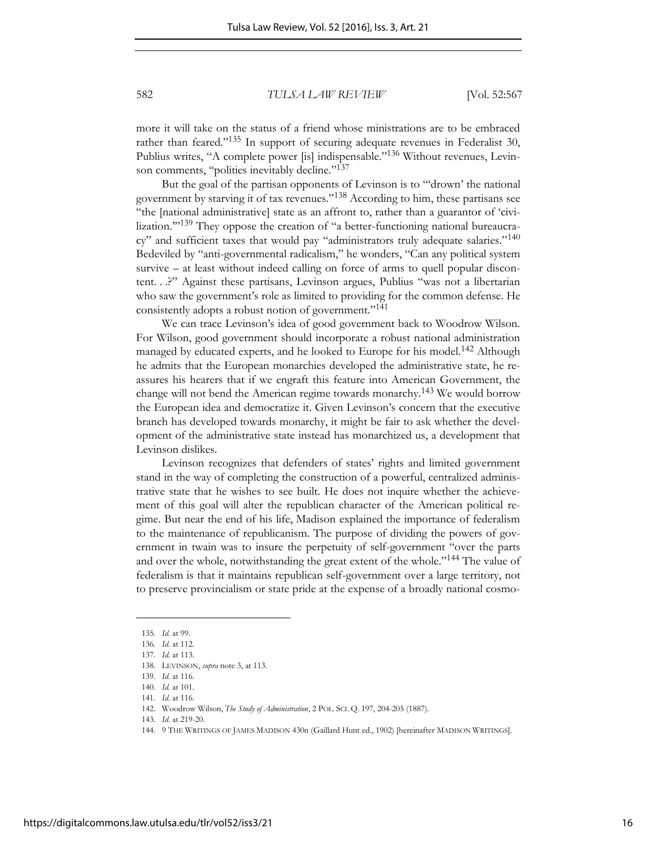more it will take on the status of a friend whose ministrations are to be embraced rather than feared."<sup>135</sup> In support of securing adequate revenues in Federalist 30, Publius writes, "A complete power [is] indispensable."<sup>136</sup> Without revenues, Levinson comments, "polities inevitably decline."<sup>137</sup>

But the goal of the partisan opponents of Levinson is to "'drown' the national government by starving it of tax revenues."138 According to him, these partisans see "the [national administrative] state as an affront to, rather than a guarantor of 'civilization."<sup>139</sup> They oppose the creation of "a better-functioning national bureaucracy" and sufficient taxes that would pay "administrators truly adequate salaries."<sup>140</sup> Bedeviled by "anti-governmental radicalism," he wonders, "Can any political system survive – at least without indeed calling on force of arms to quell popular discontent. . .?" Against these partisans, Levinson argues, Publius "was not a libertarian who saw the government's role as limited to providing for the common defense. He consistently adopts a robust notion of government."<sup>141</sup>

We can trace Levinson's idea of good government back to Woodrow Wilson. For Wilson, good government should incorporate a robust national administration managed by educated experts, and he looked to Europe for his model.<sup>142</sup> Although he admits that the European monarchies developed the administrative state, he reassures his hearers that if we engraft this feature into American Government, the change will not bend the American regime towards monarchy.143 We would borrow the European idea and democratize it. Given Levinson's concern that the executive branch has developed towards monarchy, it might be fair to ask whether the development of the administrative state instead has monarchized us, a development that Levinson dislikes.

Levinson recognizes that defenders of states' rights and limited government stand in the way of completing the construction of a powerful, centralized administrative state that he wishes to see built. He does not inquire whether the achievement of this goal will alter the republican character of the American political regime. But near the end of his life, Madison explained the importance of federalism to the maintenance of republicanism. The purpose of dividing the powers of government in twain was to insure the perpetuity of self-government "over the parts and over the whole, notwithstanding the great extent of the whole."<sup>144</sup> The value of federalism is that it maintains republican self-government over a large territory, not to preserve provincialism or state pride at the expense of a broadly national cosmo-

<sup>135</sup>*. Id.* at 99.

<sup>136</sup>*. Id.* at 112.

<sup>137</sup>*. Id.* at 113.

<sup>138</sup>*.* LEVINSON, *supra* note 3, at 113*.*

<sup>139</sup>*. Id.* at 116.

<sup>140</sup>*. Id.* at 101.

<sup>141</sup>*. Id.* at 116.

<sup>142.</sup> Woodrow Wilson, *The Study of Administration*, 2 POL. SCI. Q. 197, 204-205 (1887).

<sup>143</sup>*. Id.* at 219-20.

<sup>144. 9</sup> THE WRITINGS OF JAMES MADISON 430n (Gaillard Hunt ed., 1902) [hereinafter MADISON WRITINGS].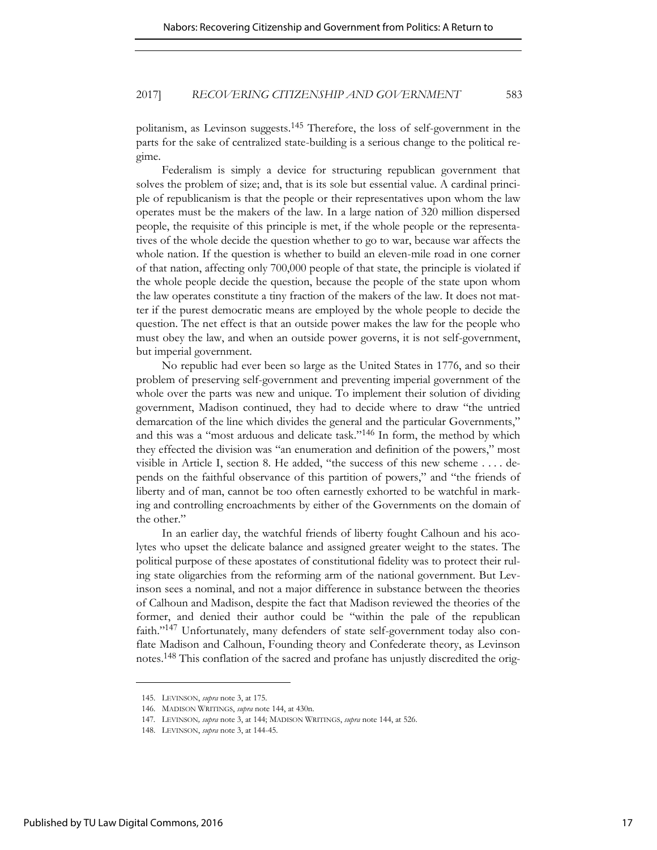politanism, as Levinson suggests.145 Therefore, the loss of self-government in the parts for the sake of centralized state-building is a serious change to the political regime.

Federalism is simply a device for structuring republican government that solves the problem of size; and, that is its sole but essential value. A cardinal principle of republicanism is that the people or their representatives upon whom the law operates must be the makers of the law. In a large nation of 320 million dispersed people, the requisite of this principle is met, if the whole people or the representatives of the whole decide the question whether to go to war, because war affects the whole nation. If the question is whether to build an eleven-mile road in one corner of that nation, affecting only 700,000 people of that state, the principle is violated if the whole people decide the question, because the people of the state upon whom the law operates constitute a tiny fraction of the makers of the law. It does not matter if the purest democratic means are employed by the whole people to decide the question. The net effect is that an outside power makes the law for the people who must obey the law, and when an outside power governs, it is not self-government, but imperial government.

No republic had ever been so large as the United States in 1776, and so their problem of preserving self-government and preventing imperial government of the whole over the parts was new and unique. To implement their solution of dividing government, Madison continued, they had to decide where to draw "the untried demarcation of the line which divides the general and the particular Governments," and this was a "most arduous and delicate task."<sup>146</sup> In form, the method by which they effected the division was "an enumeration and definition of the powers," most visible in Article I, section 8. He added, "the success of this new scheme . . . . depends on the faithful observance of this partition of powers," and "the friends of liberty and of man, cannot be too often earnestly exhorted to be watchful in marking and controlling encroachments by either of the Governments on the domain of the other."

In an earlier day, the watchful friends of liberty fought Calhoun and his acolytes who upset the delicate balance and assigned greater weight to the states. The political purpose of these apostates of constitutional fidelity was to protect their ruling state oligarchies from the reforming arm of the national government. But Levinson sees a nominal, and not a major difference in substance between the theories of Calhoun and Madison, despite the fact that Madison reviewed the theories of the former, and denied their author could be "within the pale of the republican faith."147 Unfortunately, many defenders of state self-government today also conflate Madison and Calhoun, Founding theory and Confederate theory, as Levinson notes.<sup>148</sup> This conflation of the sacred and profane has unjustly discredited the orig-

<sup>145.</sup> LEVINSON, *supra* note 3, at 175.

<sup>146.</sup> MADISON WRITINGS, *supra* note 144, at 430n.

<sup>147</sup>*.* LEVINSON*, supra* note 3, at 144; MADISON WRITINGS, *supra* note 144, at 526.

<sup>148.</sup> LEVINSON, *supra* note 3, at 144-45.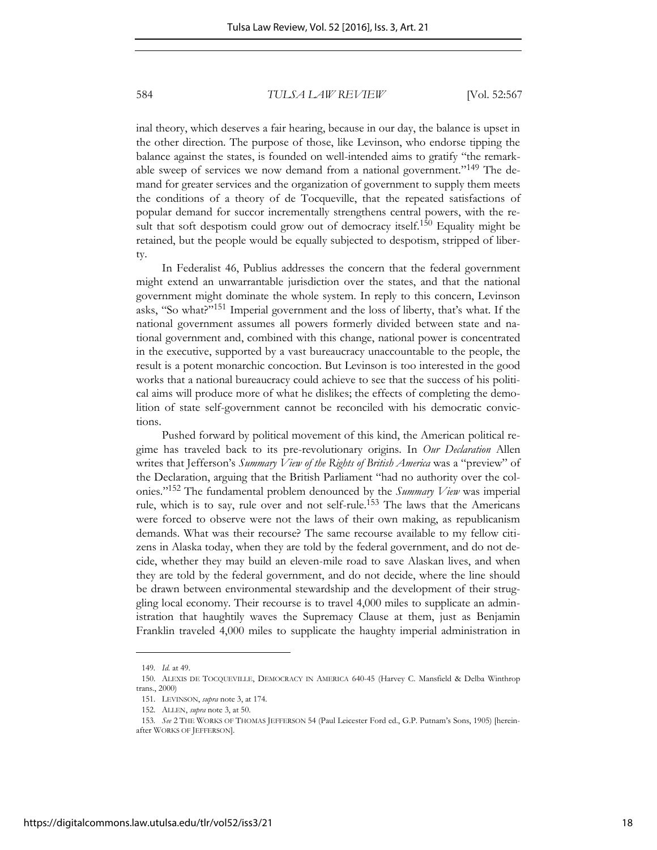inal theory, which deserves a fair hearing, because in our day, the balance is upset in the other direction. The purpose of those, like Levinson, who endorse tipping the balance against the states, is founded on well-intended aims to gratify "the remarkable sweep of services we now demand from a national government."<sup>149</sup> The demand for greater services and the organization of government to supply them meets the conditions of a theory of de Tocqueville, that the repeated satisfactions of popular demand for succor incrementally strengthens central powers, with the result that soft despotism could grow out of democracy itself.<sup>150</sup> Equality might be retained, but the people would be equally subjected to despotism, stripped of liberty.

In Federalist 46, Publius addresses the concern that the federal government might extend an unwarrantable jurisdiction over the states, and that the national government might dominate the whole system. In reply to this concern, Levinson asks, "So what?"151 Imperial government and the loss of liberty, that's what. If the national government assumes all powers formerly divided between state and national government and, combined with this change, national power is concentrated in the executive, supported by a vast bureaucracy unaccountable to the people, the result is a potent monarchic concoction. But Levinson is too interested in the good works that a national bureaucracy could achieve to see that the success of his political aims will produce more of what he dislikes; the effects of completing the demolition of state self-government cannot be reconciled with his democratic convictions.

Pushed forward by political movement of this kind, the American political regime has traveled back to its pre-revolutionary origins. In *Our Declaration* Allen writes that Jefferson's *Summary View of the Rights of British America* was a "preview" of the Declaration, arguing that the British Parliament "had no authority over the colonies."152 The fundamental problem denounced by the *Summary View* was imperial rule, which is to say, rule over and not self-rule.<sup>153</sup> The laws that the Americans were forced to observe were not the laws of their own making, as republicanism demands. What was their recourse? The same recourse available to my fellow citizens in Alaska today, when they are told by the federal government, and do not decide, whether they may build an eleven-mile road to save Alaskan lives, and when they are told by the federal government, and do not decide, where the line should be drawn between environmental stewardship and the development of their struggling local economy. Their recourse is to travel 4,000 miles to supplicate an administration that haughtily waves the Supremacy Clause at them, just as Benjamin Franklin traveled 4,000 miles to supplicate the haughty imperial administration in

<sup>149</sup>*. Id.* at 49.

<sup>150.</sup> ALEXIS DE TOCQUEVILLE, DEMOCRACY IN AMERICA 640-45 (Harvey C. Mansfield & Delba Winthrop trans., 2000)

<sup>151.</sup> LEVINSON, *supra* note 3, at 174.

<sup>152.</sup> ALLEN, *supra* note 3, at 50.

<sup>153</sup>*. See* 2 THE WORKS OF THOMAS JEFFERSON 54 (Paul Leicester Ford ed., G.P. Putnam's Sons, 1905) [hereinafter WORKS OF JEFFERSON].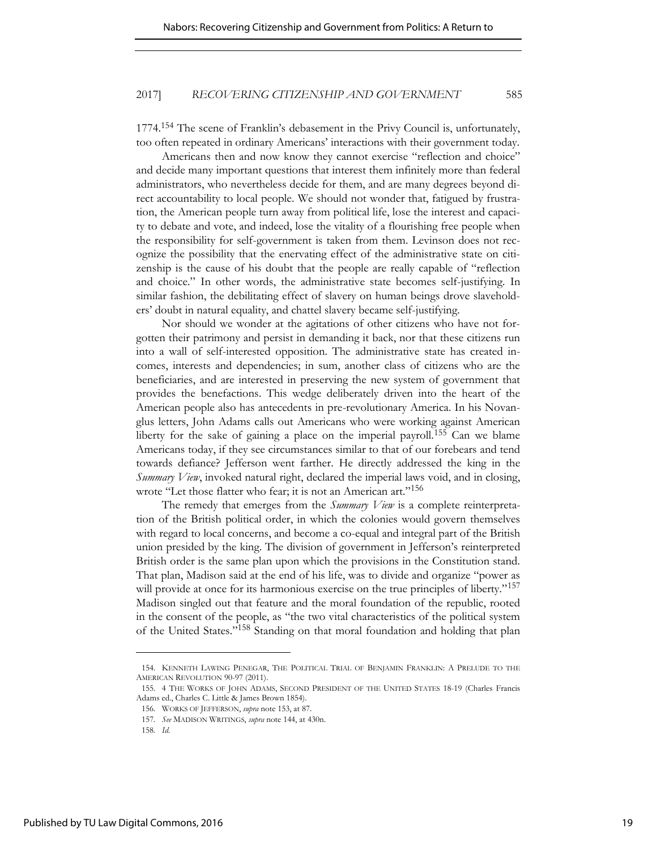1774.<sup>154</sup> The scene of Franklin's debasement in the Privy Council is, unfortunately, too often repeated in ordinary Americans' interactions with their government today.

Americans then and now know they cannot exercise "reflection and choice" and decide many important questions that interest them infinitely more than federal administrators, who nevertheless decide for them, and are many degrees beyond direct accountability to local people. We should not wonder that, fatigued by frustration, the American people turn away from political life, lose the interest and capacity to debate and vote, and indeed, lose the vitality of a flourishing free people when the responsibility for self-government is taken from them. Levinson does not recognize the possibility that the enervating effect of the administrative state on citizenship is the cause of his doubt that the people are really capable of "reflection and choice." In other words, the administrative state becomes self-justifying. In similar fashion, the debilitating effect of slavery on human beings drove slaveholders' doubt in natural equality, and chattel slavery became self-justifying.

Nor should we wonder at the agitations of other citizens who have not forgotten their patrimony and persist in demanding it back, nor that these citizens run into a wall of self-interested opposition. The administrative state has created incomes, interests and dependencies; in sum, another class of citizens who are the beneficiaries, and are interested in preserving the new system of government that provides the benefactions. This wedge deliberately driven into the heart of the American people also has antecedents in pre-revolutionary America. In his Novanglus letters, John Adams calls out Americans who were working against American liberty for the sake of gaining a place on the imperial payroll.<sup>155</sup> Can we blame Americans today, if they see circumstances similar to that of our forebears and tend towards defiance? Jefferson went farther. He directly addressed the king in the *Summary View*, invoked natural right, declared the imperial laws void, and in closing, wrote "Let those flatter who fear; it is not an American art."<sup>156</sup>

The remedy that emerges from the *Summary View* is a complete reinterpretation of the British political order, in which the colonies would govern themselves with regard to local concerns, and become a co-equal and integral part of the British union presided by the king. The division of government in Jefferson's reinterpreted British order is the same plan upon which the provisions in the Constitution stand. That plan, Madison said at the end of his life, was to divide and organize "power as will provide at once for its harmonious exercise on the true principles of liberty."<sup>157</sup> Madison singled out that feature and the moral foundation of the republic, rooted in the consent of the people, as "the two vital characteristics of the political system of the United States."158 Standing on that moral foundation and holding that plan

<sup>154.</sup> KENNETH LAWING PENEGAR, THE POLITICAL TRIAL OF BENJAMIN FRANKLIN: A PRELUDE TO THE AMERICAN REVOLUTION 90-97 (2011).

<sup>155. 4</sup> THE WORKS OF JOHN ADAMS, SECOND PRESIDENT OF THE UNITED STATES 18-19 (Charles Francis Adams ed., Charles C. Little & James Brown 1854).

<sup>156.</sup> WORKS OF JEFFERSON, *supra* note 153, at 87.

<sup>157</sup>*. See* MADISON WRITINGS, *supra* note 144, at 430n.

<sup>158</sup>*. Id.*